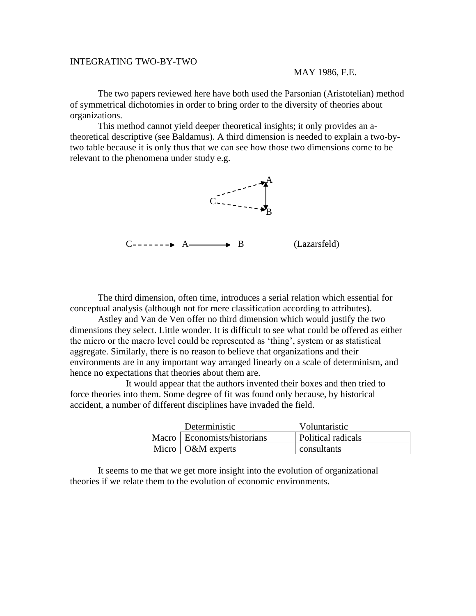## INTEGRATING TWO-BY-TWO

## MAY 1986, F.E.

The two papers reviewed here have both used the Parsonian (Aristotelian) method of symmetrical dichotomies in order to bring order to the diversity of theories about organizations.

This method cannot yield deeper theoretical insights; it only provides an atheoretical descriptive (see Baldamus). A third dimension is needed to explain a two-bytwo table because it is only thus that we can see how those two dimensions come to be relevant to the phenomena under study e.g.



The third dimension, often time, introduces a serial relation which essential for conceptual analysis (although not for mere classification according to attributes).

Astley and Van de Ven offer no third dimension which would justify the two dimensions they select. Little wonder. It is difficult to see what could be offered as either the micro or the macro level could be represented as 'thing', system or as statistical aggregate. Similarly, there is no reason to believe that organizations and their environments are in any important way arranged linearly on a scale of determinism, and hence no expectations that theories about them are.

It would appear that the authors invented their boxes and then tried to force theories into them. Some degree of fit was found only because, by historical accident, a number of different disciplines have invaded the field.

| Deterministic                 | Voluntaristic      |
|-------------------------------|--------------------|
| Macro   Economists/historians | Political radicals |
| Micro $\alpha$ O&M experts    | consultants        |

It seems to me that we get more insight into the evolution of organizational theories if we relate them to the evolution of economic environments.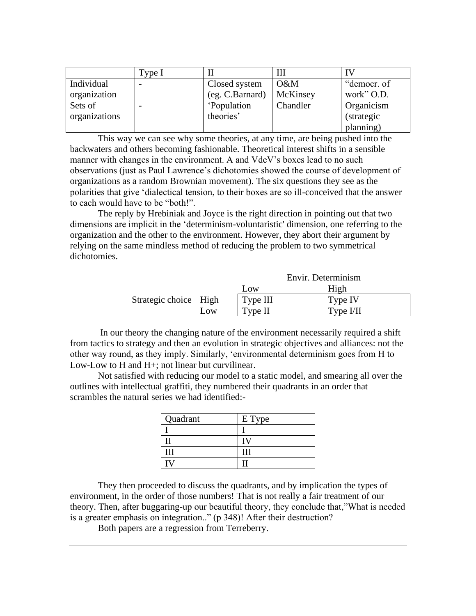|               | Type I |                    |          |                    |
|---------------|--------|--------------------|----------|--------------------|
| Individual    |        | Closed system      | $O\&M$   | "democr. of        |
| organization  |        | (eg. C.Barnard)    | McKinsey | work" O.D.         |
| Sets of       |        | <i>'Population</i> | Chandler | Organicism         |
| organizations |        | theories'          |          | <i>(strategic)</i> |
|               |        |                    |          | planning)          |

This way we can see why some theories, at any time, are being pushed into the backwaters and others becoming fashionable. Theoretical interest shifts in a sensible manner with changes in the environment. A and VdeV's boxes lead to no such observations (just as Paul Lawrence's dichotomies showed the course of development of organizations as a random Brownian movement). The six questions they see as the polarities that give 'dialectical tension, to their boxes are so ill-conceived that the answer to each would have to be "both!".

The reply by Hrebiniak and Joyce is the right direction in pointing out that two dimensions are implicit in the 'determinism-voluntaristic' dimension, one referring to the organization and the other to the environment. However, they abort their argument by relying on the same mindless method of reducing the problem to two symmetrical dichotomies.

|                       |     | Envir. Determinism |             |
|-----------------------|-----|--------------------|-------------|
|                       |     | Low                | High        |
| Strategic choice High |     | Type III           | Type IV     |
|                       | Low | Type II            | Type $I/II$ |

In our theory the changing nature of the environment necessarily required a shift from tactics to strategy and then an evolution in strategic objectives and alliances: not the other way round, as they imply. Similarly, 'environmental determinism goes from H to Low-Low to H and H+; not linear but curvilinear.

Not satisfied with reducing our model to a static model, and smearing all over the outlines with intellectual graffiti, they numbered their quadrants in an order that scrambles the natural series we had identified:-

| Quadrant | E Type |
|----------|--------|
|          |        |
|          |        |
|          |        |
|          |        |

They then proceeded to discuss the quadrants, and by implication the types of environment, in the order of those numbers! That is not really a fair treatment of our theory. Then, after buggaring-up our beautiful theory, they conclude that,"What is needed is a greater emphasis on integration.." (p 348)! After their destruction?

Both papers are a regression from Terreberry.